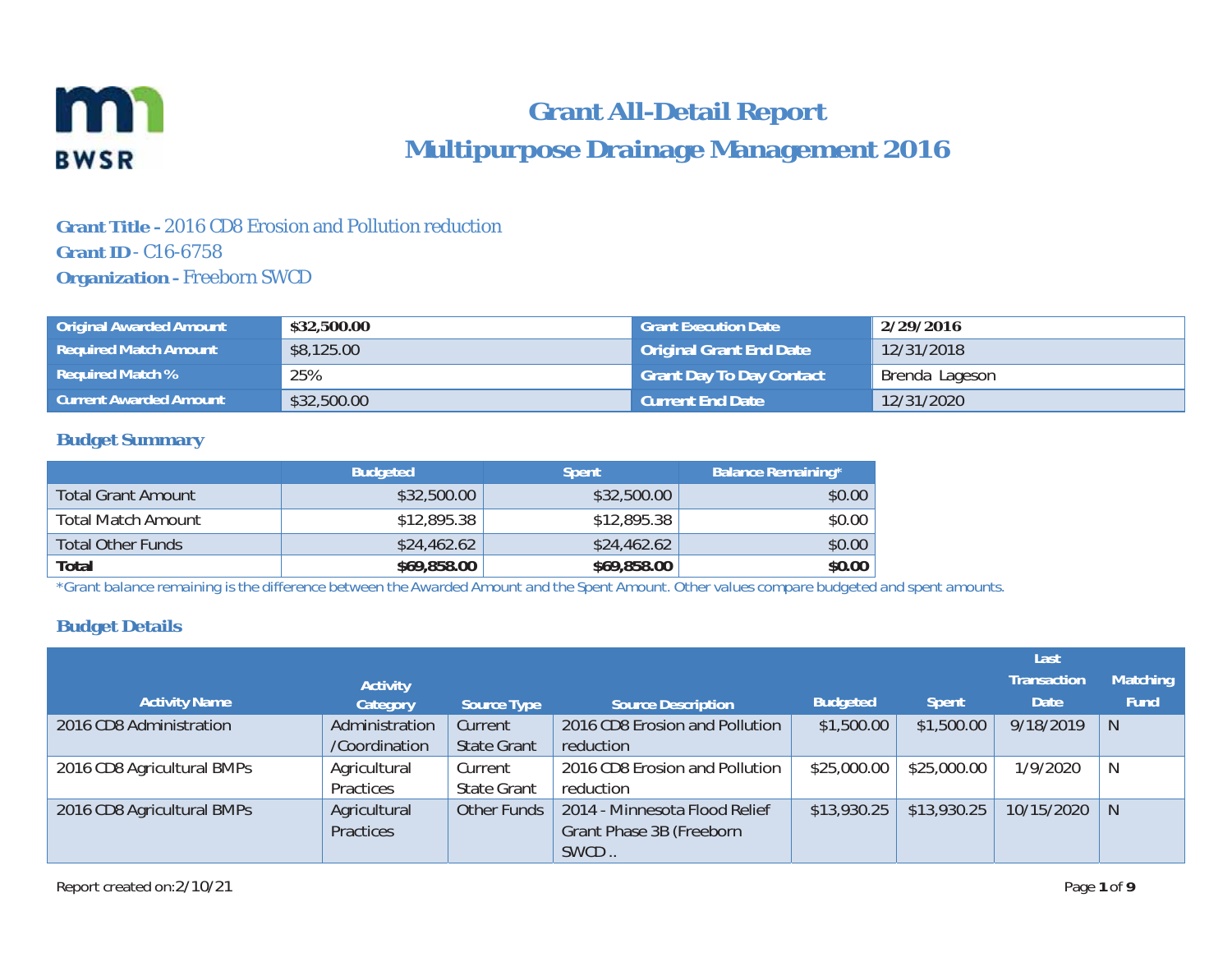

# **Grant All-Detail Report Multipurpose Drainage Management 2016**

### **Grant Title -** 2016 CD8 Erosion and Pollution reduction **Grant ID** - C16-6758**Organization - Freeborn SWCD**

| <b>Original Awarded Amount</b> | \$32,500.00 | <b>Grant Execution Date</b>     | 2/29/2016      |
|--------------------------------|-------------|---------------------------------|----------------|
| <b>Required Match Amount</b>   | \$8,125.00  | Original Grant End Date         | 12/31/2018     |
| Required Match %               | 25%         | <b>Grant Day To Day Contact</b> | Brenda Lageson |
| <b>Current Awarded Amount</b>  | \$32,500.00 | <b>Current End Date</b>         | 12/31/2020     |

#### **Budget Summary**

|                           | <b>Budgeted</b> | <b>Spent</b> | <b>Balance Remaining*</b> |
|---------------------------|-----------------|--------------|---------------------------|
| <b>Total Grant Amount</b> | \$32,500.00     | \$32,500.00  | \$0.00                    |
| <b>Total Match Amount</b> | \$12,895.38     | \$12,895.38  | \$0.00                    |
| <b>Total Other Funds</b>  | \$24,462.62     | \$24,462.62  | \$0.00                    |
| Total                     | \$69,858.00     | \$69,858.00  | \$0.00                    |

*\*Grant balance remaining is the difference between the Awarded Amount and the Spent Amount. Other values compare budgeted and spent amounts.* 

### **Budget Details**

|                            |                 |                    |                                |                 |              | Last               |                 |
|----------------------------|-----------------|--------------------|--------------------------------|-----------------|--------------|--------------------|-----------------|
|                            | <b>Activity</b> |                    |                                |                 |              | <b>Transaction</b> | <b>Matching</b> |
| <b>Activity Name</b>       | Category        | Source Type        | <b>Source Description</b>      | <b>Budgeted</b> | <b>Spent</b> | <b>Date</b>        | <b>Fund</b>     |
| 2016 CD8 Administration    | Administration  | Current            | 2016 CD8 Erosion and Pollution | \$1,500.00      | \$1,500.00   | 9/18/2019          | N               |
|                            | /Coordination   | <b>State Grant</b> | reduction                      |                 |              |                    |                 |
| 2016 CD8 Agricultural BMPs | Agricultural    | Current            | 2016 CD8 Erosion and Pollution | \$25,000.00     | \$25,000.00  | 1/9/2020           | N               |
|                            | Practices       | <b>State Grant</b> | reduction                      |                 |              |                    |                 |
| 2016 CD8 Agricultural BMPs | Agricultural    | Other Funds        | 2014 - Minnesota Flood Relief  | \$13,930.25     | \$13,930.25  | 10/15/2020         | -N              |
|                            | Practices       |                    | Grant Phase 3B (Freeborn       |                 |              |                    |                 |
|                            |                 |                    | SWCD                           |                 |              |                    |                 |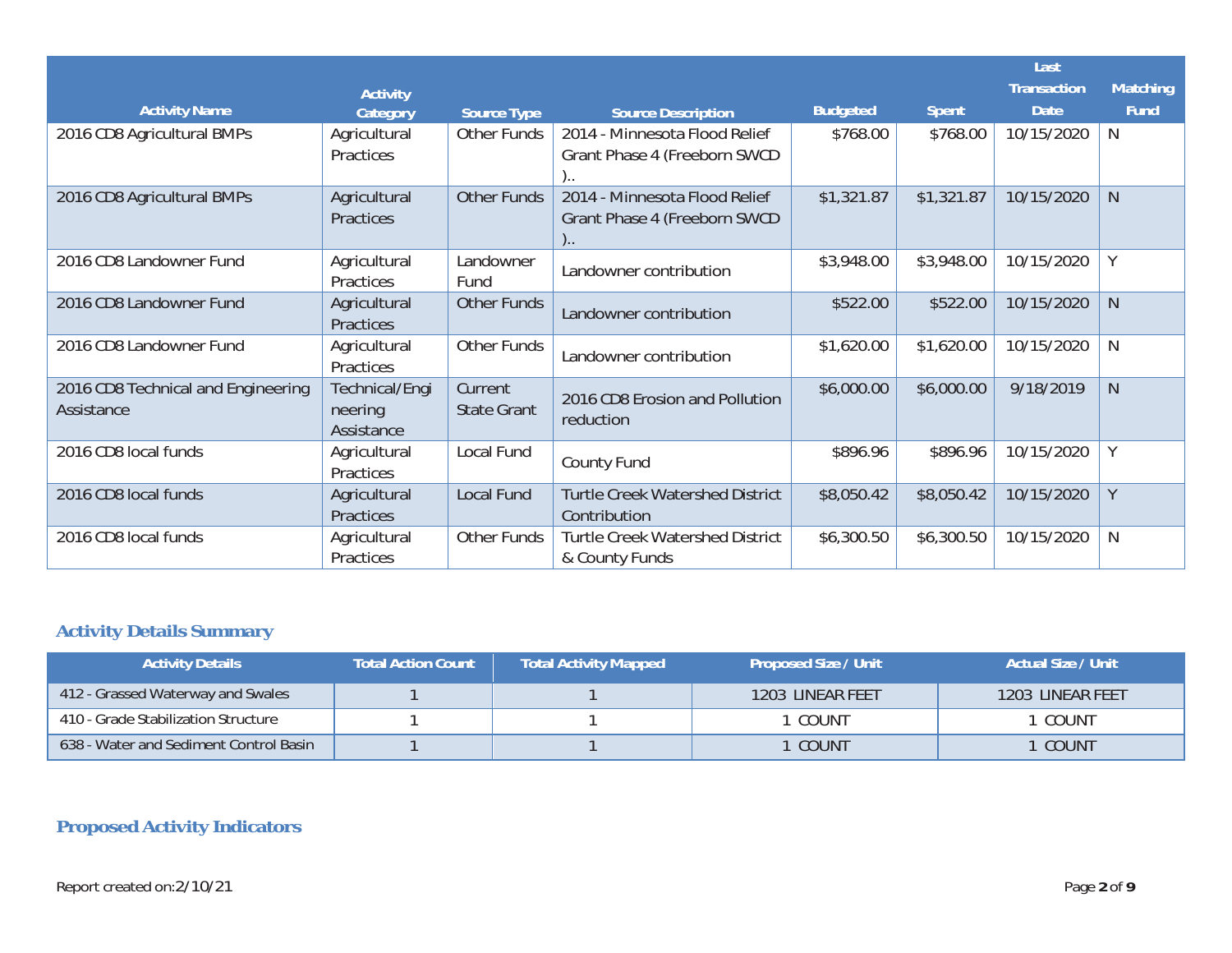|                                                  |                                         |                               |                                                                            |                 |              | Last               |                 |
|--------------------------------------------------|-----------------------------------------|-------------------------------|----------------------------------------------------------------------------|-----------------|--------------|--------------------|-----------------|
|                                                  | <b>Activity</b>                         |                               |                                                                            |                 |              | <b>Transaction</b> | <b>Matching</b> |
| <b>Activity Name</b>                             | Category                                | <b>Source Type</b>            | <b>Source Description</b>                                                  | <b>Budgeted</b> | <b>Spent</b> | <b>Date</b>        | <b>Fund</b>     |
| 2016 CD8 Agricultural BMPs                       | Agricultural<br>Practices               | <b>Other Funds</b>            | 2014 - Minnesota Flood Relief<br>Grant Phase 4 (Freeborn SWCD              | \$768.00        | \$768.00     | 10/15/2020         | N               |
| 2016 CD8 Agricultural BMPs                       | Agricultural<br>Practices               | <b>Other Funds</b>            | 2014 - Minnesota Flood Relief<br>Grant Phase 4 (Freeborn SWCD<br>$\cdot$ . | \$1,321.87      | \$1,321.87   | 10/15/2020         | $\mathsf{N}$    |
| 2016 CD8 Landowner Fund                          | Agricultural<br>Practices               | Landowner<br>Fund             | Landowner contribution                                                     | \$3,948.00      | \$3,948.00   | 10/15/2020         | Y               |
| 2016 CD8 Landowner Fund                          | Agricultural<br>Practices               | <b>Other Funds</b>            | Landowner contribution                                                     | \$522.00        | \$522.00     | 10/15/2020         | $\mathsf{N}$    |
| 2016 CD8 Landowner Fund                          | Agricultural<br>Practices               | Other Funds                   | Landowner contribution                                                     | \$1,620.00      | \$1,620.00   | 10/15/2020         | N               |
| 2016 CD8 Technical and Engineering<br>Assistance | Technical/Engi<br>neering<br>Assistance | Current<br><b>State Grant</b> | 2016 CD8 Erosion and Pollution<br>reduction                                | \$6,000.00      | \$6,000.00   | 9/18/2019          | $\mathsf{N}$    |
| 2016 CD8 local funds                             | Agricultural<br>Practices               | Local Fund                    | County Fund                                                                | \$896.96        | \$896.96     | 10/15/2020         | Υ               |
| 2016 CD8 local funds                             | Agricultural<br>Practices               | <b>Local Fund</b>             | <b>Turtle Creek Watershed District</b><br>Contribution                     | \$8,050.42      | \$8,050.42   | 10/15/2020         | Y               |
| 2016 CD8 local funds                             | Agricultural<br>Practices               | Other Funds                   | <b>Turtle Creek Watershed District</b><br>& County Funds                   | \$6,300.50      | \$6,300.50   | 10/15/2020         | N               |

# **Activity Details Summary**

| <b>Activity Details</b>                | <b>Total Action Count</b> | <b>Total Activity Mapped</b> | <b>Proposed Size / Unit</b> | Actual Size / Unit |
|----------------------------------------|---------------------------|------------------------------|-----------------------------|--------------------|
| 412 - Grassed Waterway and Swales      |                           |                              | 1203 LINEAR FEET            | 1203 LINEAR FEET   |
| 410 - Grade Stabilization Structure    |                           |                              | COUNT                       | COUNT              |
| 638 - Water and Sediment Control Basin |                           |                              | COUNT                       | COUNT              |

## **Proposed Activity Indicators**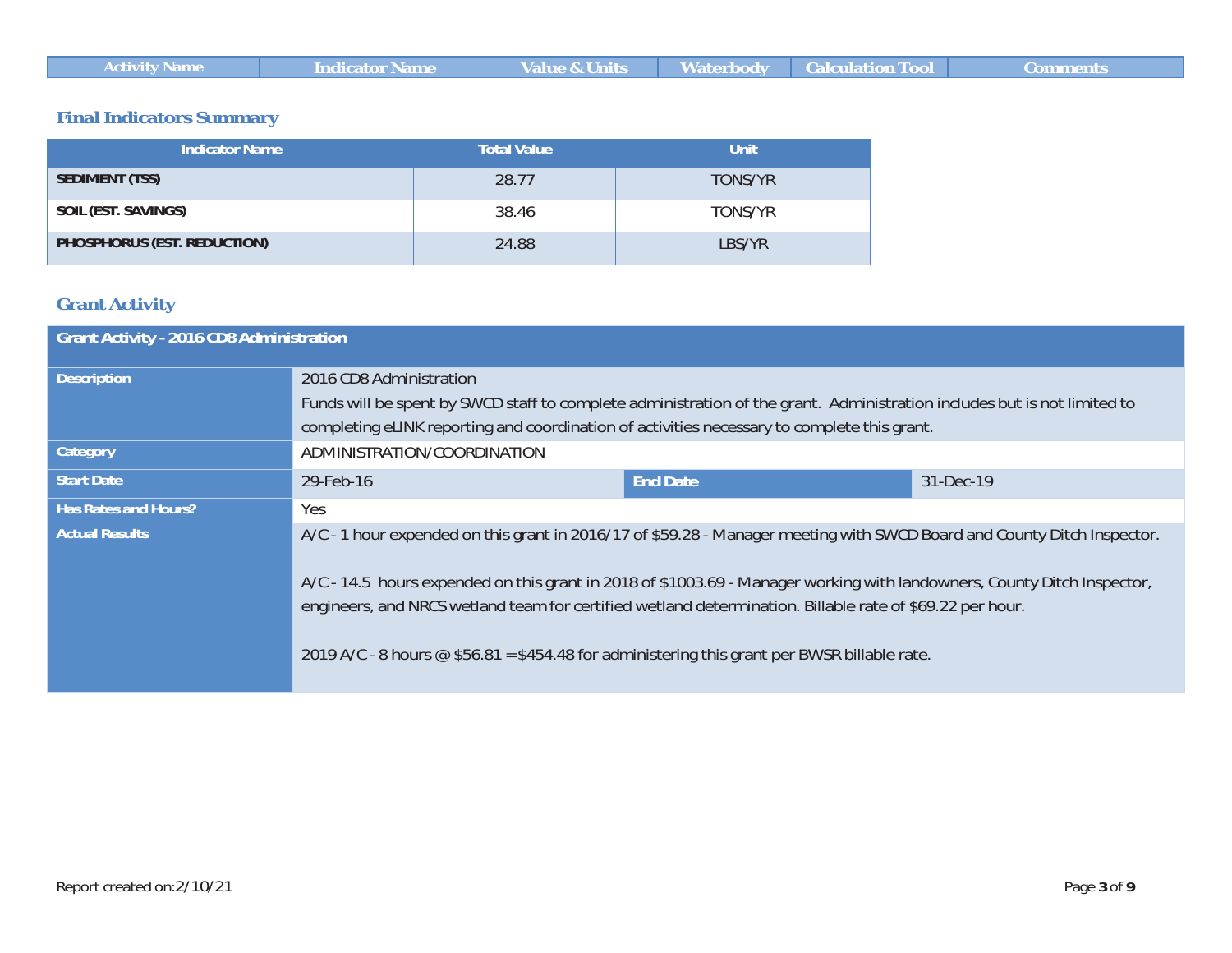| ,,,,,,,,, | ivarne |  | an e | <b>Calculation T</b> |  |
|-----------|--------|--|------|----------------------|--|
|-----------|--------|--|------|----------------------|--|

### **Final Indicators Summary**

| <b>Indicator Name</b>       | <b>Total Value</b> | Unit           |
|-----------------------------|--------------------|----------------|
| <b>SEDIMENT (TSS)</b>       | 28.77              | <b>TONS/YR</b> |
| SOIL (EST. SAVINGS)         | 38.46              | TONS/YR        |
| PHOSPHORUS (EST. REDUCTION) | 24.88              | LBS/YR         |

### **Grant Activity**

| <b>Grant Activity - 2016 CD8 Administration</b> |                                                                                                                                                                                                                                                                                                                                                                                                                                                                             |                 |           |  |  |
|-------------------------------------------------|-----------------------------------------------------------------------------------------------------------------------------------------------------------------------------------------------------------------------------------------------------------------------------------------------------------------------------------------------------------------------------------------------------------------------------------------------------------------------------|-----------------|-----------|--|--|
| <b>Description</b>                              | 2016 CD8 Administration<br>Funds will be spent by SWCD staff to complete administration of the grant. Administration includes but is not limited to<br>completing eLINK reporting and coordination of activities necessary to complete this grant.                                                                                                                                                                                                                          |                 |           |  |  |
| <b>Category</b>                                 | ADMINISTRATION/COORDINATION                                                                                                                                                                                                                                                                                                                                                                                                                                                 |                 |           |  |  |
| <b>Start Date</b>                               | 29-Feb-16                                                                                                                                                                                                                                                                                                                                                                                                                                                                   | <b>End Date</b> | 31-Dec-19 |  |  |
| <b>Has Rates and Hours?</b>                     | Yes.                                                                                                                                                                                                                                                                                                                                                                                                                                                                        |                 |           |  |  |
| <b>Actual Results</b>                           | A/C - 1 hour expended on this grant in 2016/17 of \$59.28 - Manager meeting with SWCD Board and County Ditch Inspector.<br>A/C - 14.5 hours expended on this grant in 2018 of \$1003.69 - Manager working with landowners, County Ditch Inspector,<br>engineers, and NRCS wetland team for certified wetland determination. Billable rate of \$69.22 per hour.<br>2019 A/C - 8 hours $\circledcirc$ \$56.81 = \$454.48 for administering this grant per BWSR billable rate. |                 |           |  |  |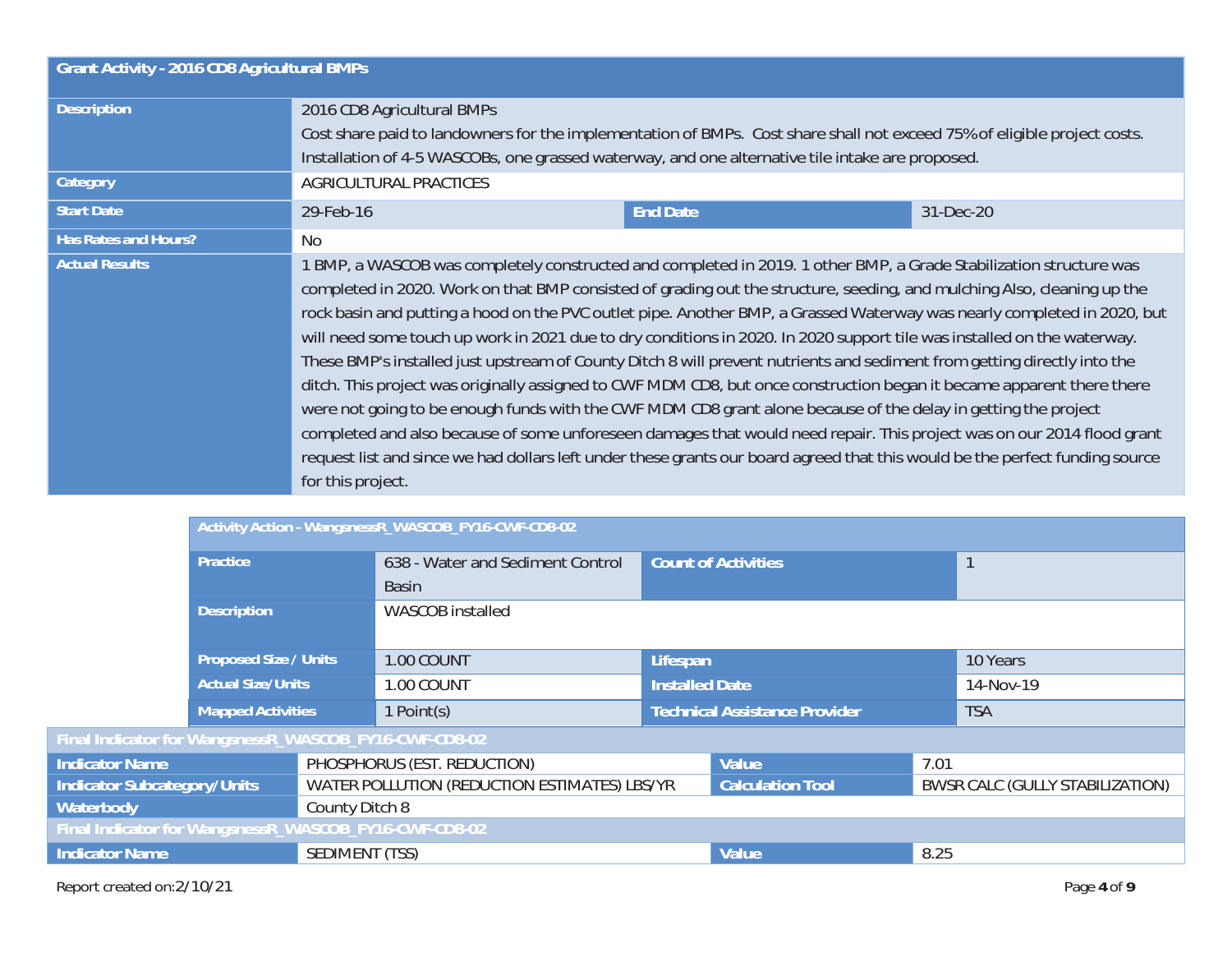| <b>Grant Activity - 2016 CD8 Agricultural BMPs</b> |                                                                                                                                                                                                                                                                                                                                                                                                                                                                                                                                                                                                                                                                                                                                                                                                                                                                                                                                                                                                                                                                                                                                                            |  |  |  |  |
|----------------------------------------------------|------------------------------------------------------------------------------------------------------------------------------------------------------------------------------------------------------------------------------------------------------------------------------------------------------------------------------------------------------------------------------------------------------------------------------------------------------------------------------------------------------------------------------------------------------------------------------------------------------------------------------------------------------------------------------------------------------------------------------------------------------------------------------------------------------------------------------------------------------------------------------------------------------------------------------------------------------------------------------------------------------------------------------------------------------------------------------------------------------------------------------------------------------------|--|--|--|--|
| <b>Description</b>                                 | 2016 CD8 Agricultural BMPs<br>Cost share paid to landowners for the implementation of BMPs. Cost share shall not exceed 75% of eligible project costs.                                                                                                                                                                                                                                                                                                                                                                                                                                                                                                                                                                                                                                                                                                                                                                                                                                                                                                                                                                                                     |  |  |  |  |
|                                                    | Installation of 4-5 WASCOBs, one grassed waterway, and one alternative tile intake are proposed.                                                                                                                                                                                                                                                                                                                                                                                                                                                                                                                                                                                                                                                                                                                                                                                                                                                                                                                                                                                                                                                           |  |  |  |  |
| Category                                           | AGRICULTURAL PRACTICES                                                                                                                                                                                                                                                                                                                                                                                                                                                                                                                                                                                                                                                                                                                                                                                                                                                                                                                                                                                                                                                                                                                                     |  |  |  |  |
| <b>Start Date</b>                                  | 29-Feb-16<br><b>End Date</b><br>31-Dec-20                                                                                                                                                                                                                                                                                                                                                                                                                                                                                                                                                                                                                                                                                                                                                                                                                                                                                                                                                                                                                                                                                                                  |  |  |  |  |
| <b>Has Rates and Hours?</b>                        | N <sub>o</sub>                                                                                                                                                                                                                                                                                                                                                                                                                                                                                                                                                                                                                                                                                                                                                                                                                                                                                                                                                                                                                                                                                                                                             |  |  |  |  |
| <b>Actual Results</b>                              | 1 BMP, a WASCOB was completely constructed and completed in 2019. 1 other BMP, a Grade Stabilization structure was<br>completed in 2020. Work on that BMP consisted of grading out the structure, seeding, and mulching Also, cleaning up the<br>rock basin and putting a hood on the PVC outlet pipe. Another BMP, a Grassed Waterway was nearly completed in 2020, but<br>will need some touch up work in 2021 due to dry conditions in 2020. In 2020 support tile was installed on the waterway.<br>These BMP's installed just upstream of County Ditch 8 will prevent nutrients and sediment from getting directly into the<br>ditch. This project was originally assigned to CWF MDM CD8, but once construction began it became apparent there there<br>were not going to be enough funds with the CWF MDM CD8 grant alone because of the delay in getting the project<br>completed and also because of some unforeseen damages that would need repair. This project was on our 2014 flood grant<br>request list and since we had dollars left under these grants our board agreed that this would be the perfect funding source<br>for this project. |  |  |  |  |

|                                                       | Activity Action - WangsnessR_WASCOB_FY16-CWF-CD8-02 |                |                                              |                                      |                            |      |                                 |
|-------------------------------------------------------|-----------------------------------------------------|----------------|----------------------------------------------|--------------------------------------|----------------------------|------|---------------------------------|
|                                                       | Practice                                            |                | 638 - Water and Sediment Control             |                                      | <b>Count of Activities</b> |      | $\mathbf{1}$                    |
|                                                       |                                                     |                | <b>Basin</b>                                 |                                      |                            |      |                                 |
|                                                       | <b>Description</b>                                  |                | WASCOB installed                             |                                      |                            |      |                                 |
|                                                       |                                                     |                |                                              |                                      |                            |      |                                 |
|                                                       | <b>Proposed Size / Units</b>                        |                | 1.00 COUNT                                   | Lifespan                             |                            |      | 10 Years                        |
|                                                       | <b>Actual Size/Units</b>                            |                | 1.00 COUNT                                   | <b>Installed Date</b>                |                            |      | 14-Nov-19                       |
|                                                       | <b>Mapped Activities</b>                            |                | 1 Point(s)                                   | <b>Technical Assistance Provider</b> |                            |      | <b>TSA</b>                      |
| Final Indicator for WangsnessR_WASCOB_FY16-CWF-CD8-02 |                                                     |                |                                              |                                      |                            |      |                                 |
| <b>Indicator Name</b>                                 |                                                     |                | PHOSPHORUS (EST. REDUCTION)                  |                                      | Value                      | 7.01 |                                 |
| <b>Indicator Subcategory/Units</b>                    |                                                     |                | WATER POLLUTION (REDUCTION ESTIMATES) LBS/YR |                                      | <b>Calculation Tool</b>    |      | BWSR CALC (GULLY STABILIZATION) |
| Waterbody                                             | County Ditch 8                                      |                |                                              |                                      |                            |      |                                 |
| Final Indicator for WangsnessR_WASCOB_FY16-CWF-CD8-02 |                                                     |                |                                              |                                      |                            |      |                                 |
| <b>Indicator Name</b>                                 |                                                     | SEDIMENT (TSS) |                                              |                                      | Value                      | 8.25 |                                 |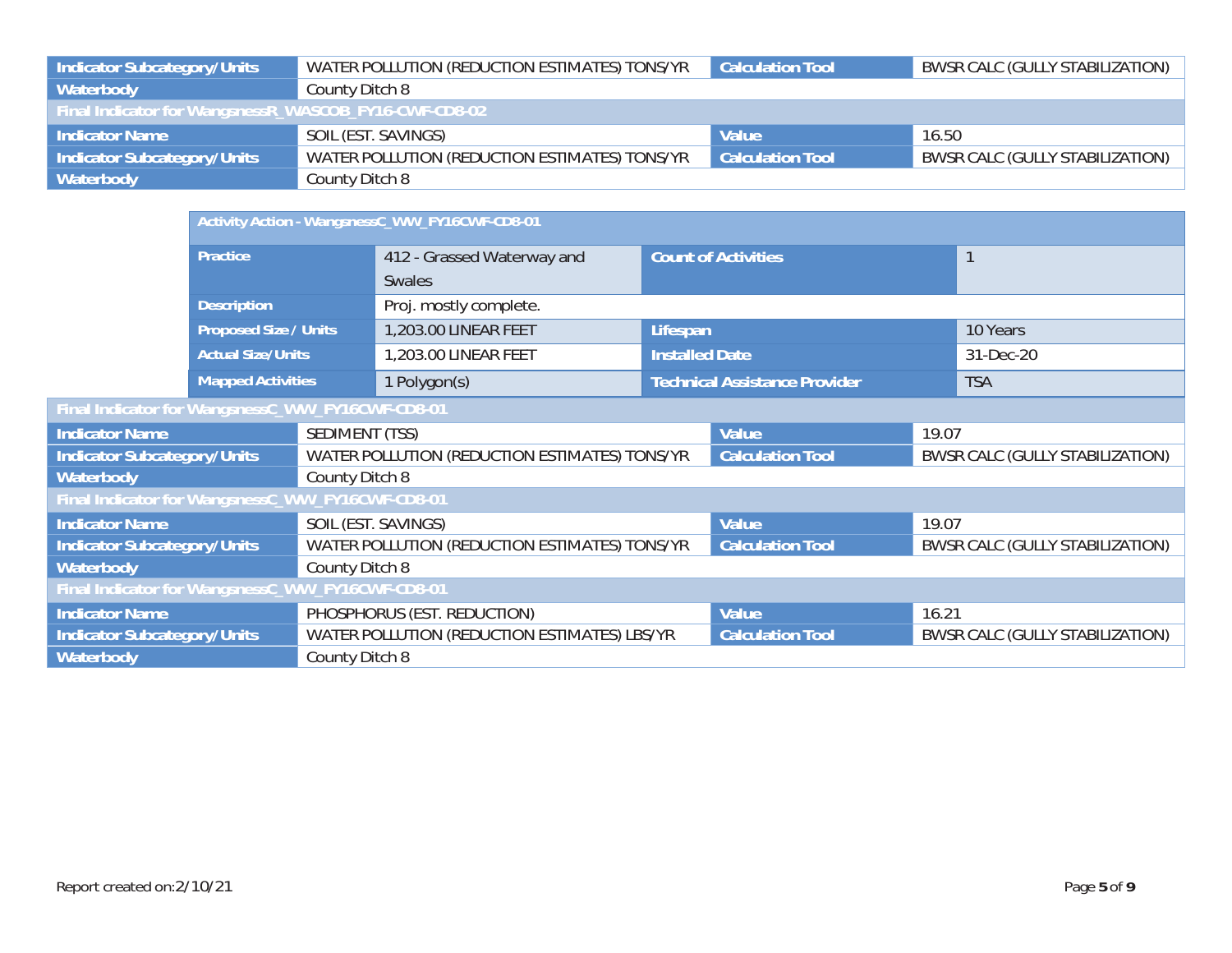| Indicator Subcategory/Units                           | WATER POLLUTION (REDUCTION ESTIMATES) TONS/YR | <b>Calculation Tool</b> | BWSR CALC (GULLY STABILIZATION) |
|-------------------------------------------------------|-----------------------------------------------|-------------------------|---------------------------------|
| Waterbody                                             | County Ditch 8                                |                         |                                 |
| Final Indicator for WangsnessR_WASCOB_FY16-CWF-CD8-02 |                                               |                         |                                 |
| <b>Indicator Name</b>                                 | SOIL (EST. SAVINGS)                           | Value                   | 16.50                           |
| Indicator Subcategory/Units                           | WATER POLLUTION (REDUCTION ESTIMATES) TONS/YR | <b>Calculation Tool</b> | BWSR CALC (GULLY STABILIZATION) |
| <b>Waterbody</b>                                      | County Ditch 8                                |                         |                                 |

|                                                  |                              | Activity Action - WangsnessC_WW_FY16CWF-CD8-01 |                                               |                                      |                         |                                 |                                 |  |  |
|--------------------------------------------------|------------------------------|------------------------------------------------|-----------------------------------------------|--------------------------------------|-------------------------|---------------------------------|---------------------------------|--|--|
|                                                  | Practice                     |                                                | 412 - Grassed Waterway and                    | <b>Count of Activities</b>           |                         |                                 |                                 |  |  |
|                                                  |                              |                                                | Swales                                        |                                      |                         |                                 |                                 |  |  |
|                                                  | <b>Description</b>           |                                                | Proj. mostly complete.                        |                                      |                         |                                 |                                 |  |  |
|                                                  | <b>Proposed Size / Units</b> |                                                | 1,203.00 LINEAR FEET                          | Lifespan                             |                         |                                 | 10 Years                        |  |  |
|                                                  | <b>Actual Size/Units</b>     |                                                | 1,203.00 LINEAR FEET                          | <b>Installed Date</b>                |                         |                                 | 31-Dec-20                       |  |  |
|                                                  | <b>Mapped Activities</b>     |                                                | 1 Polygon(s)                                  | <b>Technical Assistance Provider</b> |                         | <b>TSA</b>                      |                                 |  |  |
| Final Indicator for WangsnessC_WW_FY16CWF-CD8-01 |                              |                                                |                                               |                                      |                         |                                 |                                 |  |  |
| <b>Indicator Name</b>                            |                              | SEDIMENT (TSS)                                 |                                               |                                      | Value                   | 19.07                           |                                 |  |  |
| <b>Indicator Subcategory/Units</b>               |                              |                                                | WATER POLLUTION (REDUCTION ESTIMATES) TONS/YR |                                      | <b>Calculation Tool</b> | BWSR CALC (GULLY STABILIZATION) |                                 |  |  |
| Waterbody                                        |                              | County Ditch 8                                 |                                               |                                      |                         |                                 |                                 |  |  |
| Final Indicator for WangsnessC_WW_FY16CWF-CD8-01 |                              |                                                |                                               |                                      |                         |                                 |                                 |  |  |
| <b>Indicator Name</b>                            |                              |                                                | SOIL (EST. SAVINGS)                           |                                      | Value                   | 19.07                           |                                 |  |  |
| <b>Indicator Subcategory/Units</b>               |                              |                                                | WATER POLLUTION (REDUCTION ESTIMATES) TONS/YR |                                      | <b>Calculation Tool</b> | BWSR CALC (GULLY STABILIZATION) |                                 |  |  |
| Waterbody                                        |                              | County Ditch 8                                 |                                               |                                      |                         |                                 |                                 |  |  |
| Final Indicator for WangsnessC_WW_FY16CWF-CD8-01 |                              |                                                |                                               |                                      |                         |                                 |                                 |  |  |
| <b>Indicator Name</b>                            | PHOSPHORUS (EST. REDUCTION)  |                                                |                                               |                                      | Value                   | 16.21                           |                                 |  |  |
| <b>Indicator Subcategory/Units</b>               |                              |                                                | WATER POLLUTION (REDUCTION ESTIMATES) LBS/YR  |                                      | <b>Calculation Tool</b> |                                 | BWSR CALC (GULLY STABILIZATION) |  |  |
| Waterbody                                        |                              | County Ditch 8                                 |                                               |                                      |                         |                                 |                                 |  |  |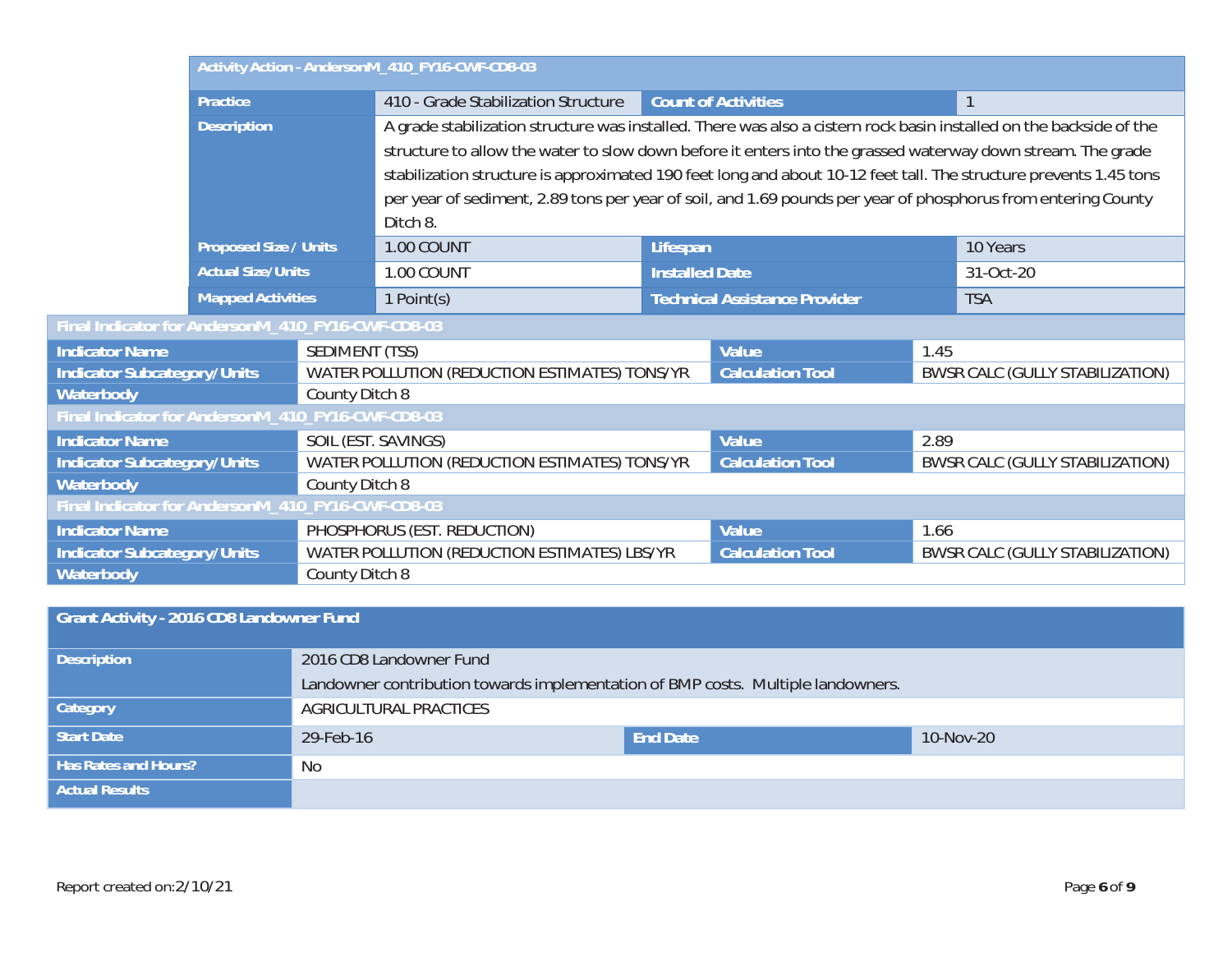|                                                   |                                                   |                                                                                                                               | Activity Action - AndersonM_410_FY16-CWF-CD8-03                                                                     |                       |                                      |      |                                 |
|---------------------------------------------------|---------------------------------------------------|-------------------------------------------------------------------------------------------------------------------------------|---------------------------------------------------------------------------------------------------------------------|-----------------------|--------------------------------------|------|---------------------------------|
|                                                   | <b>Practice</b>                                   |                                                                                                                               | 410 - Grade Stabilization Structure                                                                                 |                       | <b>Count of Activities</b>           |      | $\mathbf{1}$                    |
|                                                   | <b>Description</b>                                |                                                                                                                               | A grade stabilization structure was installed. There was also a cistern rock basin installed on the backside of the |                       |                                      |      |                                 |
|                                                   | <b>Proposed Size / Units</b>                      |                                                                                                                               | structure to allow the water to slow down before it enters into the grassed waterway down stream. The grade         |                       |                                      |      |                                 |
|                                                   |                                                   |                                                                                                                               | stabilization structure is approximated 190 feet long and about 10-12 feet tall. The structure prevents 1.45 tons   |                       |                                      |      |                                 |
|                                                   |                                                   |                                                                                                                               | per year of sediment, 2.89 tons per year of soil, and 1.69 pounds per year of phosphorus from entering County       |                       |                                      |      |                                 |
|                                                   |                                                   |                                                                                                                               | Ditch 8.                                                                                                            |                       |                                      |      |                                 |
|                                                   |                                                   |                                                                                                                               | 1.00 COUNT                                                                                                          | Lifespan              |                                      |      | 10 Years                        |
|                                                   | <b>Actual Size/Units</b>                          |                                                                                                                               | 1.00 COUNT                                                                                                          | <b>Installed Date</b> |                                      |      | 31-Oct-20                       |
|                                                   | <b>Mapped Activities</b>                          |                                                                                                                               | 1 Point(s)                                                                                                          |                       | <b>Technical Assistance Provider</b> |      | <b>TSA</b>                      |
| Final Indicator for AndersonM_410_FY16-CWF-CD8-03 |                                                   |                                                                                                                               |                                                                                                                     |                       |                                      |      |                                 |
| <b>Indicator Name</b>                             |                                                   | SEDIMENT (TSS)                                                                                                                |                                                                                                                     |                       | Value                                | 1.45 |                                 |
| <b>Indicator Subcategory/Units</b>                |                                                   |                                                                                                                               | WATER POLLUTION (REDUCTION ESTIMATES) TONS/YR                                                                       |                       | <b>Calculation Tool</b>              |      | BWSR CALC (GULLY STABILIZATION) |
| Waterbody<br>County Ditch 8                       |                                                   |                                                                                                                               |                                                                                                                     |                       |                                      |      |                                 |
|                                                   | Final Indicator for AndersonM_410_FY16-CWF-CD8-03 |                                                                                                                               |                                                                                                                     |                       |                                      |      |                                 |
| <b>Indicator Name</b>                             |                                                   |                                                                                                                               | SOIL (EST. SAVINGS)                                                                                                 |                       | Value                                | 2.89 |                                 |
| <b>Indicator Subcategory/Units</b>                |                                                   | WATER POLLUTION (REDUCTION ESTIMATES) TONS/YR<br><b>Calculation Tool</b><br>BWSR CALC (GULLY STABILIZATION)<br>County Ditch 8 |                                                                                                                     |                       |                                      |      |                                 |
| Waterbody                                         |                                                   |                                                                                                                               |                                                                                                                     |                       |                                      |      |                                 |
| Final Indicator for AndersonM_410_FY16-CWF-CD8-03 |                                                   |                                                                                                                               |                                                                                                                     |                       |                                      |      |                                 |
| <b>Indicator Name</b>                             |                                                   |                                                                                                                               | PHOSPHORUS (EST. REDUCTION)                                                                                         |                       | Value                                | 1.66 |                                 |
| <b>Indicator Subcategory/Units</b>                |                                                   |                                                                                                                               | WATER POLLUTION (REDUCTION ESTIMATES) LBS/YR<br><b>Calculation Tool</b><br>BWSR CALC (GULLY STABILIZATION)          |                       |                                      |      |                                 |
| Waterbody<br>County Ditch 8                       |                                                   |                                                                                                                               |                                                                                                                     |                       |                                      |      |                                 |
|                                                   |                                                   |                                                                                                                               |                                                                                                                     |                       |                                      |      |                                 |

| Grant Activity - 2016 CD8 Landowner Fund |                                                                                  |                 |           |  |
|------------------------------------------|----------------------------------------------------------------------------------|-----------------|-----------|--|
| <b>Description</b>                       | 2016 CD8 Landowner Fund                                                          |                 |           |  |
|                                          | Landowner contribution towards implementation of BMP costs. Multiple landowners. |                 |           |  |
| Category                                 | AGRICULTURAL PRACTICES                                                           |                 |           |  |
| Start Date                               | 29-Feb-16                                                                        | <b>End Date</b> | 10-Nov-20 |  |
| <b>Has Rates and Hours?</b>              | No.                                                                              |                 |           |  |
| <b>Actual Results</b>                    |                                                                                  |                 |           |  |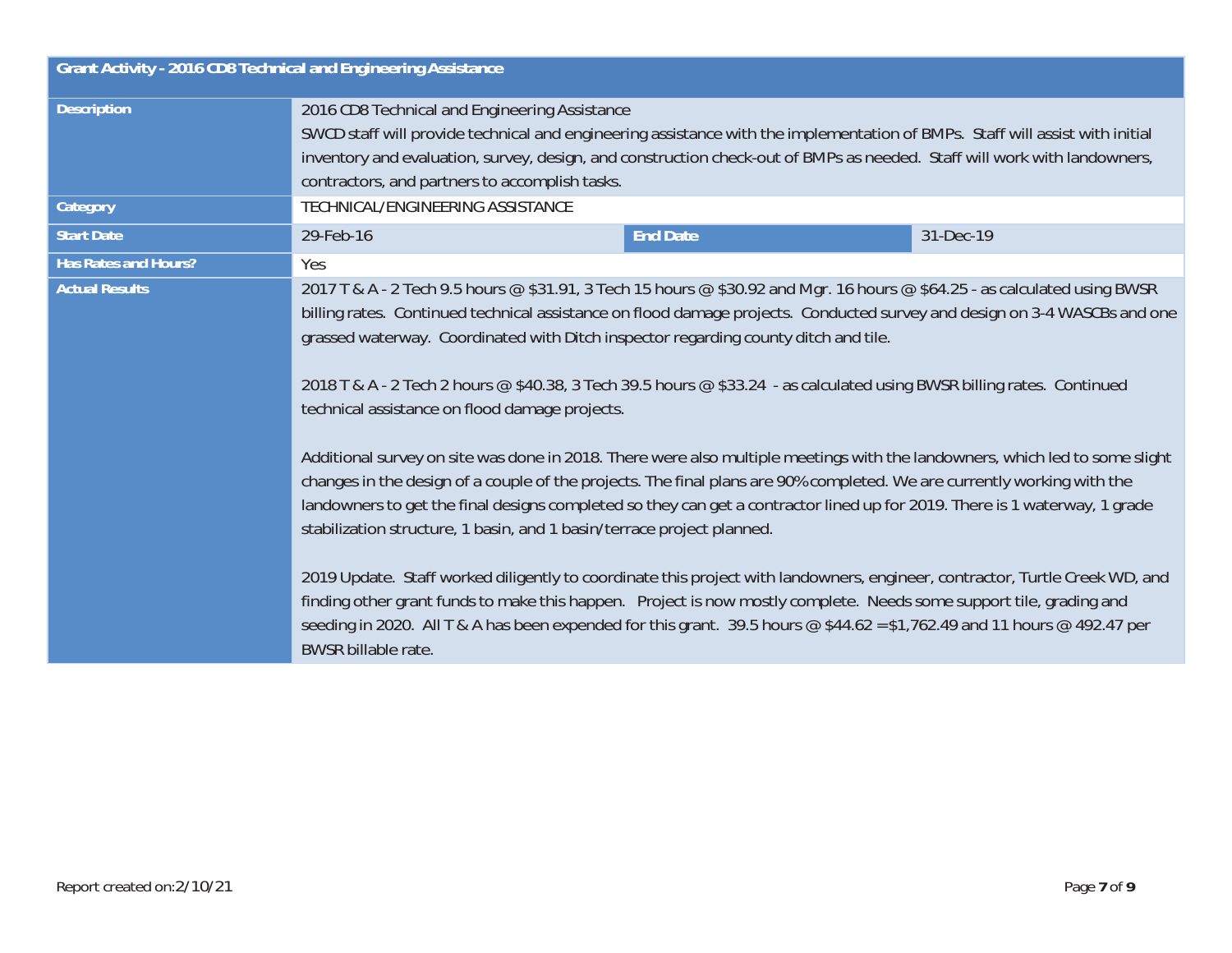| Grant Activity - 2016 CD8 Technical and Engineering Assistance |                                                                                                                                                                                                                                                                                                                                                                                                                                                                                                                                                                                                                                                                                                                                                                                                                                                                                                                                                                                                                                                                                                                                                                                                                                                                                                                                                                                                      |  |  |  |
|----------------------------------------------------------------|------------------------------------------------------------------------------------------------------------------------------------------------------------------------------------------------------------------------------------------------------------------------------------------------------------------------------------------------------------------------------------------------------------------------------------------------------------------------------------------------------------------------------------------------------------------------------------------------------------------------------------------------------------------------------------------------------------------------------------------------------------------------------------------------------------------------------------------------------------------------------------------------------------------------------------------------------------------------------------------------------------------------------------------------------------------------------------------------------------------------------------------------------------------------------------------------------------------------------------------------------------------------------------------------------------------------------------------------------------------------------------------------------|--|--|--|
| <b>Description</b>                                             | 2016 CD8 Technical and Engineering Assistance<br>SWCD staff will provide technical and engineering assistance with the implementation of BMPs. Staff will assist with initial<br>inventory and evaluation, survey, design, and construction check-out of BMPs as needed. Staff will work with landowners,<br>contractors, and partners to accomplish tasks.                                                                                                                                                                                                                                                                                                                                                                                                                                                                                                                                                                                                                                                                                                                                                                                                                                                                                                                                                                                                                                          |  |  |  |
| Category                                                       | TECHNICAL/ENGINEERING ASSISTANCE                                                                                                                                                                                                                                                                                                                                                                                                                                                                                                                                                                                                                                                                                                                                                                                                                                                                                                                                                                                                                                                                                                                                                                                                                                                                                                                                                                     |  |  |  |
| <b>Start Date</b>                                              | <b>End Date</b><br>31-Dec-19<br>29-Feb-16                                                                                                                                                                                                                                                                                                                                                                                                                                                                                                                                                                                                                                                                                                                                                                                                                                                                                                                                                                                                                                                                                                                                                                                                                                                                                                                                                            |  |  |  |
| <b>Has Rates and Hours?</b>                                    | Yes                                                                                                                                                                                                                                                                                                                                                                                                                                                                                                                                                                                                                                                                                                                                                                                                                                                                                                                                                                                                                                                                                                                                                                                                                                                                                                                                                                                                  |  |  |  |
| <b>Actual Results</b>                                          | 2017 T & A - 2 Tech 9.5 hours @ \$31.91, 3 Tech 15 hours @ \$30.92 and Mgr. 16 hours @ \$64.25 - as calculated using BWSR<br>billing rates. Continued technical assistance on flood damage projects. Conducted survey and design on 3-4 WASCBs and one<br>grassed waterway. Coordinated with Ditch inspector regarding county ditch and tile.<br>2018 T & A - 2 Tech 2 hours @ \$40.38, 3 Tech 39.5 hours @ \$33.24 - as calculated using BWSR billing rates. Continued<br>technical assistance on flood damage projects.<br>Additional survey on site was done in 2018. There were also multiple meetings with the landowners, which led to some slight<br>changes in the design of a couple of the projects. The final plans are 90% completed. We are currently working with the<br>landowners to get the final designs completed so they can get a contractor lined up for 2019. There is 1 waterway, 1 grade<br>stabilization structure, 1 basin, and 1 basin/terrace project planned.<br>2019 Update. Staff worked diligently to coordinate this project with landowners, engineer, contractor, Turtle Creek WD, and<br>finding other grant funds to make this happen. Project is now mostly complete. Needs some support tile, grading and<br>seeding in 2020. All T & A has been expended for this grant. 39.5 hours @ \$44.62 = \$1,762.49 and 11 hours @ 492.47 per<br>BWSR billable rate. |  |  |  |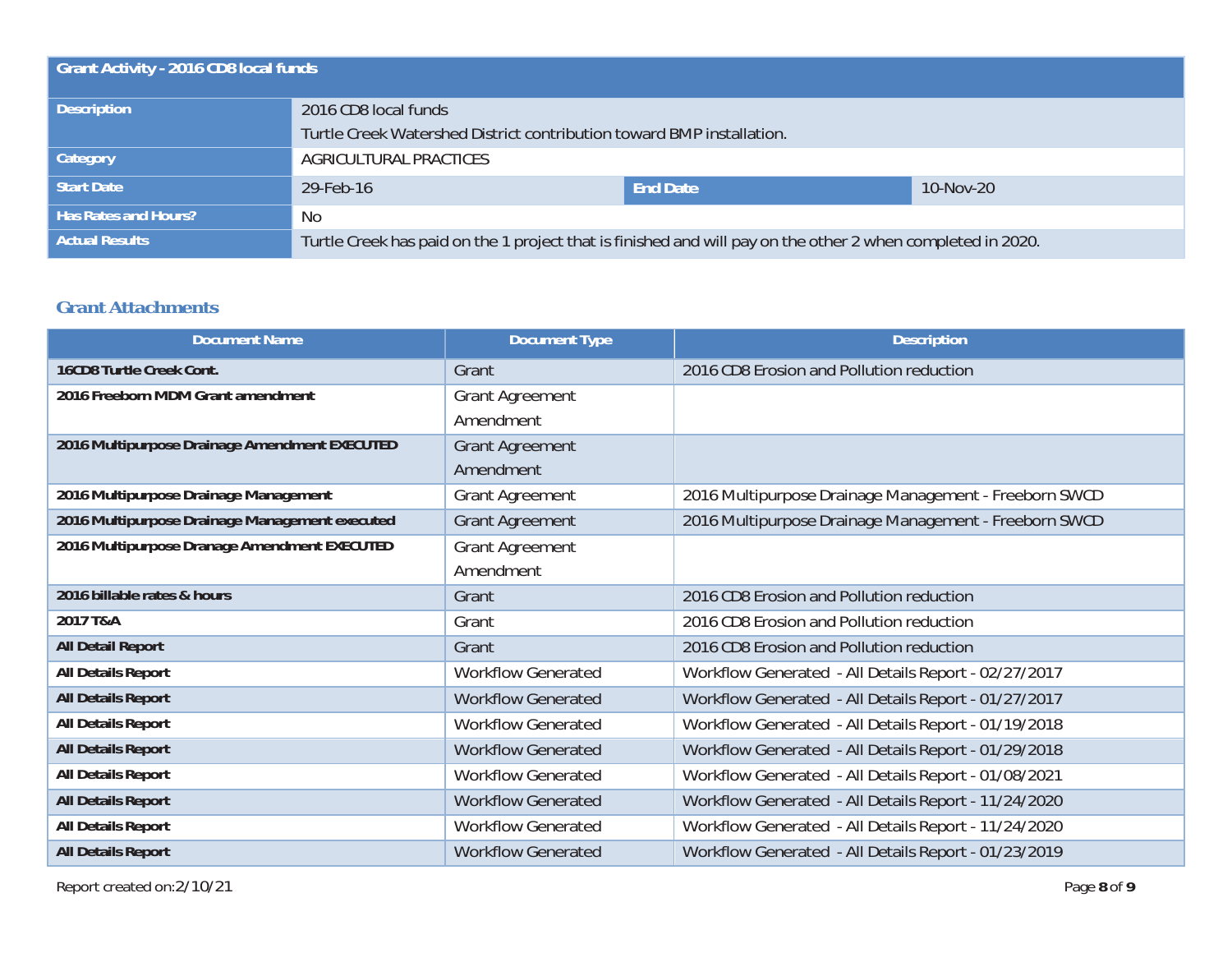| <b>Grant Activity - 2016 CD8 local funds</b> |                                                                                                             |                 |           |  |
|----------------------------------------------|-------------------------------------------------------------------------------------------------------------|-----------------|-----------|--|
| <b>Description</b>                           | 2016 CD8 local funds                                                                                        |                 |           |  |
|                                              | Turtle Creek Watershed District contribution toward BMP installation.                                       |                 |           |  |
| <b>Category</b>                              | AGRICULTURAL PRACTICES                                                                                      |                 |           |  |
| Start Date                                   | 29-Feb-16                                                                                                   | <b>End Date</b> | 10-Nov-20 |  |
| <b>Has Rates and Hours?</b>                  | No.                                                                                                         |                 |           |  |
| <b>Actual Results</b>                        | Turtle Creek has paid on the 1 project that is finished and will pay on the other 2 when completed in 2020. |                 |           |  |

#### **Grant Attachments**

| <b>Document Name</b>                           | <b>Document Type</b>      | <b>Description</b>                                    |
|------------------------------------------------|---------------------------|-------------------------------------------------------|
| 16CD8 Turtle Creek Cont.                       | Grant                     | 2016 CD8 Erosion and Pollution reduction              |
| 2016 Freeborn MDM Grant amendment              | Grant Agreement           |                                                       |
|                                                | Amendment                 |                                                       |
| 2016 Multipurpose Drainage Amendment EXECUTED  | <b>Grant Agreement</b>    |                                                       |
|                                                | Amendment                 |                                                       |
| 2016 Multipurpose Drainage Management          | <b>Grant Agreement</b>    | 2016 Multipurpose Drainage Management - Freeborn SWCD |
| 2016 Multipurpose Drainage Management executed | <b>Grant Agreement</b>    | 2016 Multipurpose Drainage Management - Freeborn SWCD |
| 2016 Multipurpose Dranage Amendment EXECUTED   | <b>Grant Agreement</b>    |                                                       |
|                                                | Amendment                 |                                                       |
| 2016 billable rates & hours                    | Grant                     | 2016 CD8 Erosion and Pollution reduction              |
| 2017 T&A                                       | Grant                     | 2016 CD8 Erosion and Pollution reduction              |
| <b>All Detail Report</b>                       | Grant                     | 2016 CD8 Erosion and Pollution reduction              |
| All Details Report                             | <b>Workflow Generated</b> | Workflow Generated - All Details Report - 02/27/2017  |
| <b>All Details Report</b>                      | <b>Workflow Generated</b> | Workflow Generated - All Details Report - 01/27/2017  |
| All Details Report                             | <b>Workflow Generated</b> | Workflow Generated - All Details Report - 01/19/2018  |
| <b>All Details Report</b>                      | <b>Workflow Generated</b> | Workflow Generated - All Details Report - 01/29/2018  |
| All Details Report                             | <b>Workflow Generated</b> | Workflow Generated - All Details Report - 01/08/2021  |
| <b>All Details Report</b>                      | <b>Workflow Generated</b> | Workflow Generated - All Details Report - 11/24/2020  |
| All Details Report                             | <b>Workflow Generated</b> | Workflow Generated - All Details Report - 11/24/2020  |
| <b>All Details Report</b>                      | <b>Workflow Generated</b> | Workflow Generated - All Details Report - 01/23/2019  |